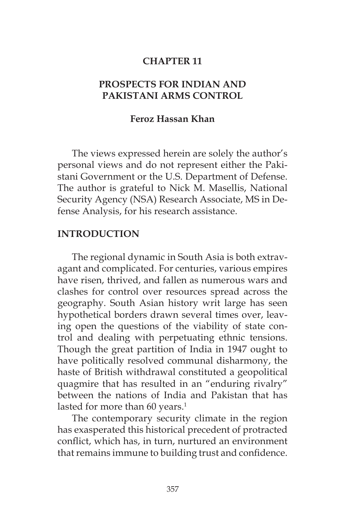#### **CHAPTER 11**

### **PROSPECTS FOR INDIAN AND PAKISTANI ARMS CONTROL**

#### **Feroz Hassan Khan**

The views expressed herein are solely the author's personal views and do not represent either the Pakistani Government or the U.S. Department of Defense. The author is grateful to Nick M. Masellis, National Security Agency (NSA) Research Associate, MS in Defense Analysis, for his research assistance.

#### **INTRODUCTION**

The regional dynamic in South Asia is both extravagant and complicated. For centuries, various empires have risen, thrived, and fallen as numerous wars and clashes for control over resources spread across the geography. South Asian history writ large has seen hypothetical borders drawn several times over, leaving open the questions of the viability of state control and dealing with perpetuating ethnic tensions. Though the great partition of India in 1947 ought to have politically resolved communal disharmony, the haste of British withdrawal constituted a geopolitical quagmire that has resulted in an "enduring rivalry" between the nations of India and Pakistan that has lasted for more than  $60$  years.<sup>1</sup>

The contemporary security climate in the region has exasperated this historical precedent of protracted conflict, which has, in turn, nurtured an environment that remains immune to building trust and confidence.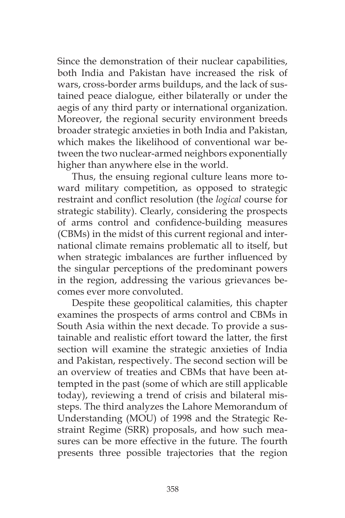Since the demonstration of their nuclear capabilities, both India and Pakistan have increased the risk of wars, cross-border arms buildups, and the lack of sustained peace dialogue, either bilaterally or under the aegis of any third party or international organization. Moreover, the regional security environment breeds broader strategic anxieties in both India and Pakistan, which makes the likelihood of conventional war between the two nuclear-armed neighbors exponentially higher than anywhere else in the world.

Thus, the ensuing regional culture leans more toward military competition, as opposed to strategic restraint and conflict resolution (the *logical* course for strategic stability). Clearly, considering the prospects of arms control and confidence-building measures (CBMs) in the midst of this current regional and international climate remains problematic all to itself, but when strategic imbalances are further influenced by the singular perceptions of the predominant powers in the region, addressing the various grievances becomes ever more convoluted.

Despite these geopolitical calamities, this chapter examines the prospects of arms control and CBMs in South Asia within the next decade. To provide a sustainable and realistic effort toward the latter, the first section will examine the strategic anxieties of India and Pakistan, respectively. The second section will be an overview of treaties and CBMs that have been attempted in the past (some of which are still applicable today), reviewing a trend of crisis and bilateral missteps. The third analyzes the Lahore Memorandum of Understanding (MOU) of 1998 and the Strategic Restraint Regime (SRR) proposals, and how such measures can be more effective in the future. The fourth presents three possible trajectories that the region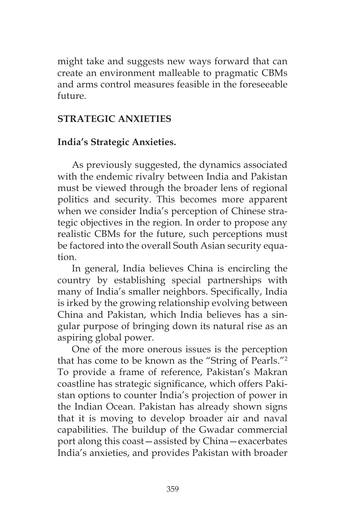might take and suggests new ways forward that can create an environment malleable to pragmatic CBMs and arms control measures feasible in the foreseeable future.

## **STRATEGIC ANXIETIES**

## **India's Strategic Anxieties.**

As previously suggested, the dynamics associated with the endemic rivalry between India and Pakistan must be viewed through the broader lens of regional politics and security. This becomes more apparent when we consider India's perception of Chinese strategic objectives in the region. In order to propose any realistic CBMs for the future, such perceptions must be factored into the overall South Asian security equation.

In general, India believes China is encircling the country by establishing special partnerships with many of India's smaller neighbors. Specifically, India is irked by the growing relationship evolving between China and Pakistan, which India believes has a singular purpose of bringing down its natural rise as an aspiring global power.

One of the more onerous issues is the perception that has come to be known as the "String of Pearls."<sup>2</sup> To provide a frame of reference, Pakistan's Makran coastline has strategic significance, which offers Pakistan options to counter India's projection of power in the Indian Ocean. Pakistan has already shown signs that it is moving to develop broader air and naval capabilities. The buildup of the Gwadar commercial port along this coast—assisted by China—exacerbates India's anxieties, and provides Pakistan with broader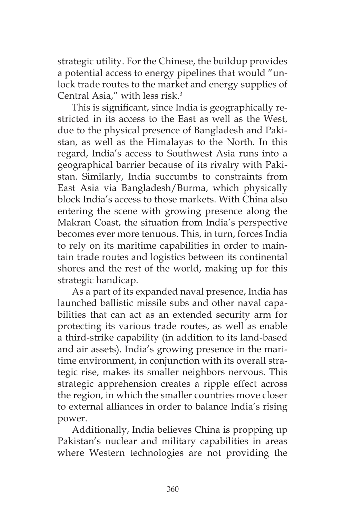strategic utility. For the Chinese, the buildup provides a potential access to energy pipelines that would "unlock trade routes to the market and energy supplies of Central Asia," with less risk.3

This is significant, since India is geographically restricted in its access to the East as well as the West, due to the physical presence of Bangladesh and Pakistan, as well as the Himalayas to the North. In this regard, India's access to Southwest Asia runs into a geographical barrier because of its rivalry with Pakistan. Similarly, India succumbs to constraints from East Asia via Bangladesh/Burma, which physically block India's access to those markets. With China also entering the scene with growing presence along the Makran Coast, the situation from India's perspective becomes ever more tenuous. This, in turn, forces India to rely on its maritime capabilities in order to maintain trade routes and logistics between its continental shores and the rest of the world, making up for this strategic handicap.

As a part of its expanded naval presence, India has launched ballistic missile subs and other naval capabilities that can act as an extended security arm for protecting its various trade routes, as well as enable a third-strike capability (in addition to its land-based and air assets). India's growing presence in the maritime environment, in conjunction with its overall strategic rise, makes its smaller neighbors nervous. This strategic apprehension creates a ripple effect across the region, in which the smaller countries move closer to external alliances in order to balance India's rising power.

Additionally, India believes China is propping up Pakistan's nuclear and military capabilities in areas where Western technologies are not providing the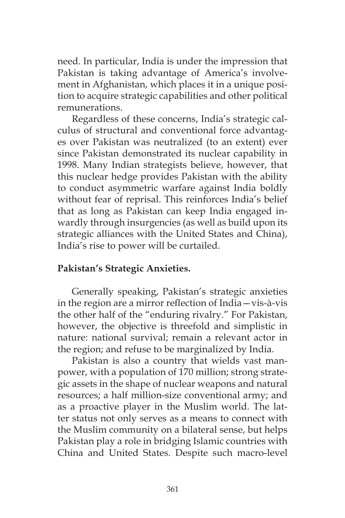need. In particular, India is under the impression that Pakistan is taking advantage of America's involvement in Afghanistan, which places it in a unique position to acquire strategic capabilities and other political remunerations.

Regardless of these concerns, India's strategic calculus of structural and conventional force advantages over Pakistan was neutralized (to an extent) ever since Pakistan demonstrated its nuclear capability in 1998. Many Indian strategists believe, however, that this nuclear hedge provides Pakistan with the ability to conduct asymmetric warfare against India boldly without fear of reprisal. This reinforces India's belief that as long as Pakistan can keep India engaged inwardly through insurgencies (as well as build upon its strategic alliances with the United States and China), India's rise to power will be curtailed.

## **Pakistan's Strategic Anxieties.**

Generally speaking, Pakistan's strategic anxieties in the region are a mirror reflection of India—vis-à-vis the other half of the "enduring rivalry." For Pakistan, however, the objective is threefold and simplistic in nature: national survival; remain a relevant actor in the region; and refuse to be marginalized by India.

Pakistan is also a country that wields vast manpower, with a population of 170 million; strong strategic assets in the shape of nuclear weapons and natural resources; a half million-size conventional army; and as a proactive player in the Muslim world. The latter status not only serves as a means to connect with the Muslim community on a bilateral sense, but helps Pakistan play a role in bridging Islamic countries with China and United States. Despite such macro-level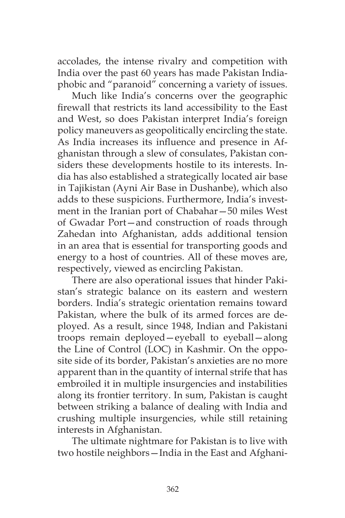accolades, the intense rivalry and competition with India over the past 60 years has made Pakistan Indiaphobic and "paranoid" concerning a variety of issues.

Much like India's concerns over the geographic firewall that restricts its land accessibility to the East and West, so does Pakistan interpret India's foreign policy maneuvers as geopolitically encircling the state. As India increases its influence and presence in Afghanistan through a slew of consulates, Pakistan considers these developments hostile to its interests. India has also established a strategically located air base in Tajikistan (Ayni Air Base in Dushanbe), which also adds to these suspicions. Furthermore, India's investment in the Iranian port of Chabahar—50 miles West of Gwadar Port—and construction of roads through Zahedan into Afghanistan, adds additional tension in an area that is essential for transporting goods and energy to a host of countries. All of these moves are, respectively, viewed as encircling Pakistan.

There are also operational issues that hinder Pakistan's strategic balance on its eastern and western borders. India's strategic orientation remains toward Pakistan, where the bulk of its armed forces are deployed. As a result, since 1948, Indian and Pakistani troops remain deployed—eyeball to eyeball—along the Line of Control (LOC) in Kashmir. On the opposite side of its border, Pakistan's anxieties are no more apparent than in the quantity of internal strife that has embroiled it in multiple insurgencies and instabilities along its frontier territory. In sum, Pakistan is caught between striking a balance of dealing with India and crushing multiple insurgencies, while still retaining interests in Afghanistan.

The ultimate nightmare for Pakistan is to live with two hostile neighbors—India in the East and Afghani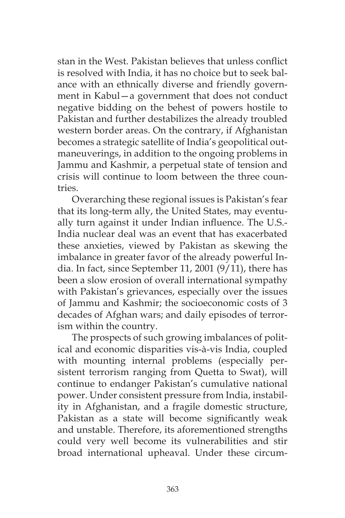stan in the West. Pakistan believes that unless conflict is resolved with India, it has no choice but to seek balance with an ethnically diverse and friendly government in Kabul—a government that does not conduct negative bidding on the behest of powers hostile to Pakistan and further destabilizes the already troubled western border areas. On the contrary, if Afghanistan becomes a strategic satellite of India's geopolitical outmaneuverings, in addition to the ongoing problems in Jammu and Kashmir, a perpetual state of tension and crisis will continue to loom between the three countries.

Overarching these regional issues is Pakistan's fear that its long-term ally, the United States, may eventually turn against it under Indian influence. The U.S.- India nuclear deal was an event that has exacerbated these anxieties, viewed by Pakistan as skewing the imbalance in greater favor of the already powerful India. In fact, since September 11, 2001 (9/11), there has been a slow erosion of overall international sympathy with Pakistan's grievances, especially over the issues of Jammu and Kashmir; the socioeconomic costs of 3 decades of Afghan wars; and daily episodes of terrorism within the country.

The prospects of such growing imbalances of political and economic disparities vis-à-vis India, coupled with mounting internal problems (especially persistent terrorism ranging from Quetta to Swat), will continue to endanger Pakistan's cumulative national power. Under consistent pressure from India, instability in Afghanistan, and a fragile domestic structure, Pakistan as a state will become significantly weak and unstable. Therefore, its aforementioned strengths could very well become its vulnerabilities and stir broad international upheaval. Under these circum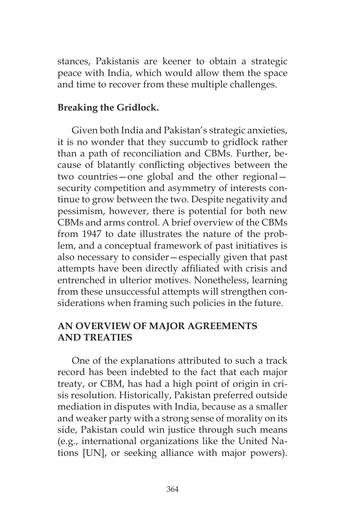stances, Pakistanis are keener to obtain a strategic peace with India, which would allow them the space and time to recover from these multiple challenges.

## **Breaking the Gridlock.**

Given both India and Pakistan's strategic anxieties, it is no wonder that they succumb to gridlock rather than a path of reconciliation and CBMs. Further, because of blatantly conflicting objectives between the two countries—one global and the other regional security competition and asymmetry of interests continue to grow between the two. Despite negativity and pessimism, however, there is potential for both new CBMs and arms control. A brief overview of the CBMs from 1947 to date illustrates the nature of the problem, and a conceptual framework of past initiatives is also necessary to consider—especially given that past attempts have been directly affiliated with crisis and entrenched in ulterior motives. Nonetheless, learning from these unsuccessful attempts will strengthen considerations when framing such policies in the future.

## **AN OVERVIEW OF MAJOR AGREEMENTS AND TREATIES**

One of the explanations attributed to such a track record has been indebted to the fact that each major treaty, or CBM, has had a high point of origin in crisis resolution. Historically, Pakistan preferred outside mediation in disputes with India, because as a smaller and weaker party with a strong sense of morality on its side, Pakistan could win justice through such means (e.g., international organizations like the United Nations [UN], or seeking alliance with major powers).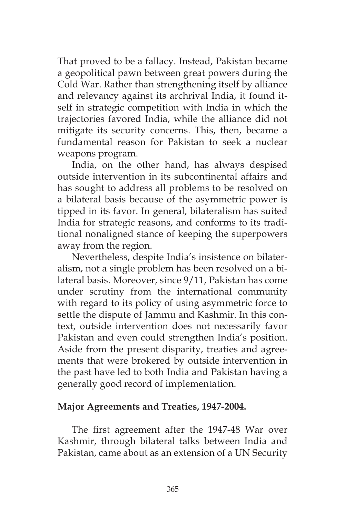That proved to be a fallacy. Instead, Pakistan became a geopolitical pawn between great powers during the Cold War. Rather than strengthening itself by alliance and relevancy against its archrival India, it found itself in strategic competition with India in which the trajectories favored India, while the alliance did not mitigate its security concerns. This, then, became a fundamental reason for Pakistan to seek a nuclear weapons program.

India, on the other hand, has always despised outside intervention in its subcontinental affairs and has sought to address all problems to be resolved on a bilateral basis because of the asymmetric power is tipped in its favor. In general, bilateralism has suited India for strategic reasons, and conforms to its traditional nonaligned stance of keeping the superpowers away from the region.

Nevertheless, despite India's insistence on bilateralism, not a single problem has been resolved on a bilateral basis. Moreover, since 9/11, Pakistan has come under scrutiny from the international community with regard to its policy of using asymmetric force to settle the dispute of Jammu and Kashmir. In this context, outside intervention does not necessarily favor Pakistan and even could strengthen India's position. Aside from the present disparity, treaties and agreements that were brokered by outside intervention in the past have led to both India and Pakistan having a generally good record of implementation.

#### **Major Agreements and Treaties, 1947-2004.**

The first agreement after the 1947-48 War over Kashmir, through bilateral talks between India and Pakistan, came about as an extension of a UN Security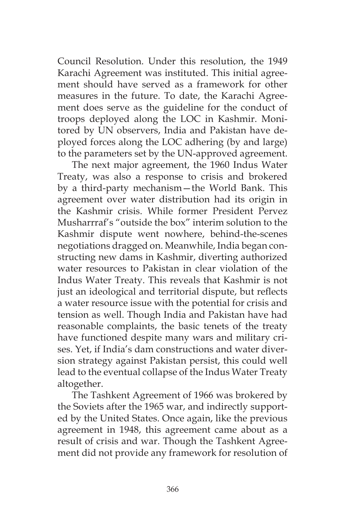Council Resolution. Under this resolution, the 1949 Karachi Agreement was instituted. This initial agreement should have served as a framework for other measures in the future. To date, the Karachi Agreement does serve as the guideline for the conduct of troops deployed along the LOC in Kashmir. Monitored by UN observers, India and Pakistan have deployed forces along the LOC adhering (by and large) to the parameters set by the UN-approved agreement.

The next major agreement, the 1960 Indus Water Treaty, was also a response to crisis and brokered by a third-party mechanism—the World Bank. This agreement over water distribution had its origin in the Kashmir crisis. While former President Pervez Musharrraf's "outside the box" interim solution to the Kashmir dispute went nowhere, behind-the-scenes negotiations dragged on. Meanwhile, India began constructing new dams in Kashmir, diverting authorized water resources to Pakistan in clear violation of the Indus Water Treaty. This reveals that Kashmir is not just an ideological and territorial dispute, but reflects a water resource issue with the potential for crisis and tension as well. Though India and Pakistan have had reasonable complaints, the basic tenets of the treaty have functioned despite many wars and military crises. Yet, if India's dam constructions and water diversion strategy against Pakistan persist, this could well lead to the eventual collapse of the Indus Water Treaty altogether.

The Tashkent Agreement of 1966 was brokered by the Soviets after the 1965 war, and indirectly supported by the United States. Once again, like the previous agreement in 1948, this agreement came about as a result of crisis and war. Though the Tashkent Agreement did not provide any framework for resolution of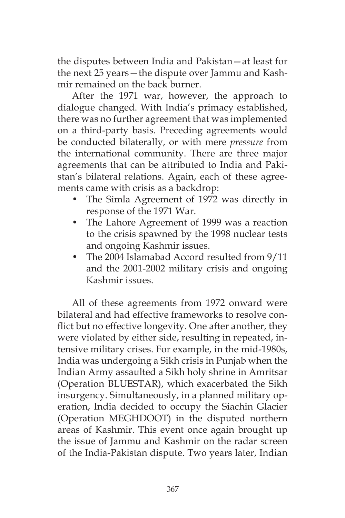the disputes between India and Pakistan—at least for the next 25 years—the dispute over Jammu and Kashmir remained on the back burner.

After the 1971 war, however, the approach to dialogue changed. With India's primacy established, there was no further agreement that was implemented on a third-party basis. Preceding agreements would be conducted bilaterally, or with mere *pressure* from the international community. There are three major agreements that can be attributed to India and Pakistan's bilateral relations. Again, each of these agreements came with crisis as a backdrop:

- The Simla Agreement of 1972 was directly in response of the 1971 War.
- The Lahore Agreement of 1999 was a reaction to the crisis spawned by the 1998 nuclear tests and ongoing Kashmir issues.
- The 2004 Islamabad Accord resulted from 9/11 and the 2001-2002 military crisis and ongoing Kashmir issues.

All of these agreements from 1972 onward were bilateral and had effective frameworks to resolve conflict but no effective longevity. One after another, they were violated by either side, resulting in repeated, intensive military crises. For example, in the mid-1980s, India was undergoing a Sikh crisis in Punjab when the Indian Army assaulted a Sikh holy shrine in Amritsar (Operation BLUESTAR), which exacerbated the Sikh insurgency. Simultaneously, in a planned military operation, India decided to occupy the Siachin Glacier (Operation MEGHDOOT) in the disputed northern areas of Kashmir. This event once again brought up the issue of Jammu and Kashmir on the radar screen of the India-Pakistan dispute. Two years later, Indian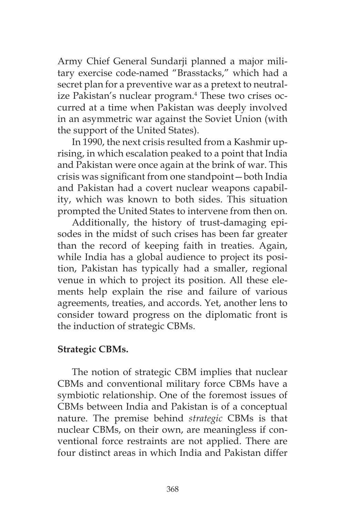Army Chief General Sundarji planned a major military exercise code-named "Brasstacks," which had a secret plan for a preventive war as a pretext to neutralize Pakistan's nuclear program.<sup>4</sup> These two crises occurred at a time when Pakistan was deeply involved in an asymmetric war against the Soviet Union (with the support of the United States).

In 1990, the next crisis resulted from a Kashmir uprising, in which escalation peaked to a point that India and Pakistan were once again at the brink of war. This crisis was significant from one standpoint—both India and Pakistan had a covert nuclear weapons capability, which was known to both sides. This situation prompted the United States to intervene from then on.

Additionally, the history of trust-damaging episodes in the midst of such crises has been far greater than the record of keeping faith in treaties. Again, while India has a global audience to project its position, Pakistan has typically had a smaller, regional venue in which to project its position. All these elements help explain the rise and failure of various agreements, treaties, and accords. Yet, another lens to consider toward progress on the diplomatic front is the induction of strategic CBMs.

### **Strategic CBMs.**

The notion of strategic CBM implies that nuclear CBMs and conventional military force CBMs have a symbiotic relationship. One of the foremost issues of CBMs between India and Pakistan is of a conceptual nature. The premise behind *strategic* CBMs is that nuclear CBMs, on their own, are meaningless if conventional force restraints are not applied. There are four distinct areas in which India and Pakistan differ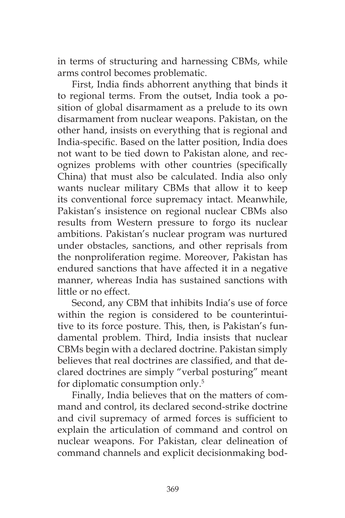in terms of structuring and harnessing CBMs, while arms control becomes problematic.

First, India finds abhorrent anything that binds it to regional terms. From the outset, India took a position of global disarmament as a prelude to its own disarmament from nuclear weapons. Pakistan, on the other hand, insists on everything that is regional and India-specific. Based on the latter position, India does not want to be tied down to Pakistan alone, and recognizes problems with other countries (specifically China) that must also be calculated. India also only wants nuclear military CBMs that allow it to keep its conventional force supremacy intact. Meanwhile, Pakistan's insistence on regional nuclear CBMs also results from Western pressure to forgo its nuclear ambitions. Pakistan's nuclear program was nurtured under obstacles, sanctions, and other reprisals from the nonproliferation regime. Moreover, Pakistan has endured sanctions that have affected it in a negative manner, whereas India has sustained sanctions with little or no effect.

Second, any CBM that inhibits India's use of force within the region is considered to be counterintuitive to its force posture. This, then, is Pakistan's fundamental problem. Third, India insists that nuclear CBMs begin with a declared doctrine. Pakistan simply believes that real doctrines are classified, and that declared doctrines are simply "verbal posturing" meant for diplomatic consumption only.5

Finally, India believes that on the matters of command and control, its declared second-strike doctrine and civil supremacy of armed forces is sufficient to explain the articulation of command and control on nuclear weapons. For Pakistan, clear delineation of command channels and explicit decisionmaking bod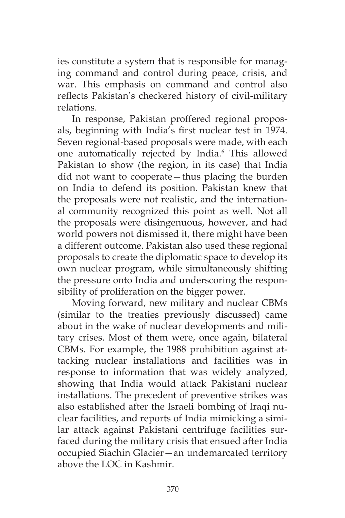ies constitute a system that is responsible for managing command and control during peace, crisis, and war. This emphasis on command and control also reflects Pakistan's checkered history of civil-military relations.

In response, Pakistan proffered regional proposals, beginning with India's first nuclear test in 1974. Seven regional-based proposals were made, with each one automatically rejected by India.<sup>6</sup> This allowed Pakistan to show (the region, in its case) that India did not want to cooperate—thus placing the burden on India to defend its position. Pakistan knew that the proposals were not realistic, and the international community recognized this point as well. Not all the proposals were disingenuous, however, and had world powers not dismissed it, there might have been a different outcome. Pakistan also used these regional proposals to create the diplomatic space to develop its own nuclear program, while simultaneously shifting the pressure onto India and underscoring the responsibility of proliferation on the bigger power.

Moving forward, new military and nuclear CBMs (similar to the treaties previously discussed) came about in the wake of nuclear developments and military crises. Most of them were, once again, bilateral CBMs. For example, the 1988 prohibition against attacking nuclear installations and facilities was in response to information that was widely analyzed, showing that India would attack Pakistani nuclear installations. The precedent of preventive strikes was also established after the Israeli bombing of Iraqi nuclear facilities, and reports of India mimicking a similar attack against Pakistani centrifuge facilities surfaced during the military crisis that ensued after India occupied Siachin Glacier—an undemarcated territory above the LOC in Kashmir.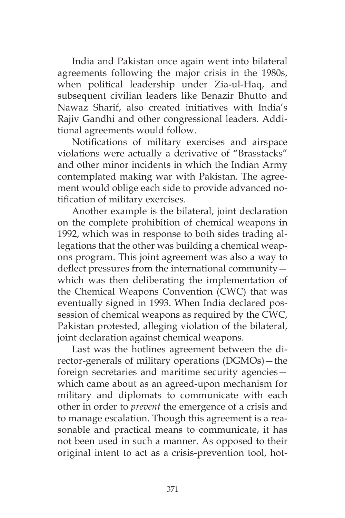India and Pakistan once again went into bilateral agreements following the major crisis in the 1980s, when political leadership under Zia-ul-Haq, and subsequent civilian leaders like Benazir Bhutto and Nawaz Sharif, also created initiatives with India's Rajiv Gandhi and other congressional leaders. Additional agreements would follow.

Notifications of military exercises and airspace violations were actually a derivative of "Brasstacks" and other minor incidents in which the Indian Army contemplated making war with Pakistan. The agreement would oblige each side to provide advanced notification of military exercises.

Another example is the bilateral, joint declaration on the complete prohibition of chemical weapons in 1992, which was in response to both sides trading allegations that the other was building a chemical weapons program. This joint agreement was also a way to deflect pressures from the international community which was then deliberating the implementation of the Chemical Weapons Convention (CWC) that was eventually signed in 1993. When India declared possession of chemical weapons as required by the CWC, Pakistan protested, alleging violation of the bilateral, joint declaration against chemical weapons.

Last was the hotlines agreement between the director-generals of military operations (DGMOs)—the foreign secretaries and maritime security agencies which came about as an agreed-upon mechanism for military and diplomats to communicate with each other in order to *prevent* the emergence of a crisis and to manage escalation. Though this agreement is a reasonable and practical means to communicate, it has not been used in such a manner. As opposed to their original intent to act as a crisis-prevention tool, hot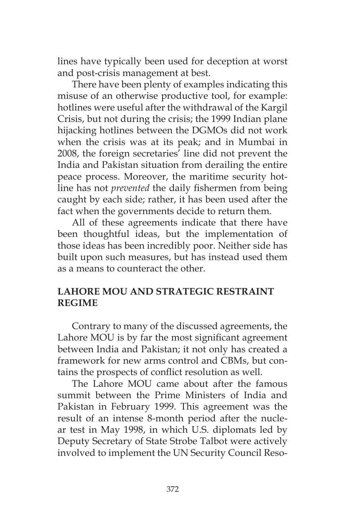lines have typically been used for deception at worst and post-crisis management at best.

There have been plenty of examples indicating this misuse of an otherwise productive tool, for example: hotlines were useful after the withdrawal of the Kargil Crisis, but not during the crisis; the 1999 Indian plane hijacking hotlines between the DGMOs did not work when the crisis was at its peak; and in Mumbai in 2008, the foreign secretaries' line did not prevent the India and Pakistan situation from derailing the entire peace process. Moreover, the maritime security hotline has not *prevented* the daily fishermen from being caught by each side; rather, it has been used after the fact when the governments decide to return them.

All of these agreements indicate that there have been thoughtful ideas, but the implementation of those ideas has been incredibly poor. Neither side has built upon such measures, but has instead used them as a means to counteract the other.

## **LAHORE MOU AND STRATEGIC RESTRAINT REGIME**

Contrary to many of the discussed agreements, the Lahore MOU is by far the most significant agreement between India and Pakistan; it not only has created a framework for new arms control and CBMs, but contains the prospects of conflict resolution as well.

The Lahore MOU came about after the famous summit between the Prime Ministers of India and Pakistan in February 1999. This agreement was the result of an intense 8-month period after the nuclear test in May 1998, in which U.S. diplomats led by Deputy Secretary of State Strobe Talbot were actively involved to implement the UN Security Council Reso-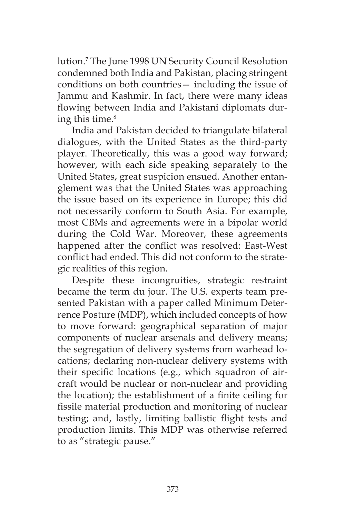lution.7 The June 1998 UN Security Council Resolution condemned both India and Pakistan, placing stringent conditions on both countries— including the issue of Jammu and Kashmir. In fact, there were many ideas flowing between India and Pakistani diplomats during this time.<sup>8</sup>

India and Pakistan decided to triangulate bilateral dialogues, with the United States as the third-party player. Theoretically, this was a good way forward; however, with each side speaking separately to the United States, great suspicion ensued. Another entanglement was that the United States was approaching the issue based on its experience in Europe; this did not necessarily conform to South Asia. For example, most CBMs and agreements were in a bipolar world during the Cold War. Moreover, these agreements happened after the conflict was resolved: East-West conflict had ended. This did not conform to the strategic realities of this region.

Despite these incongruities, strategic restraint became the term du jour. The U.S. experts team presented Pakistan with a paper called Minimum Deterrence Posture (MDP), which included concepts of how to move forward: geographical separation of major components of nuclear arsenals and delivery means; the segregation of delivery systems from warhead locations; declaring non-nuclear delivery systems with their specific locations (e.g., which squadron of aircraft would be nuclear or non-nuclear and providing the location); the establishment of a finite ceiling for fissile material production and monitoring of nuclear testing; and, lastly, limiting ballistic flight tests and production limits. This MDP was otherwise referred to as "strategic pause."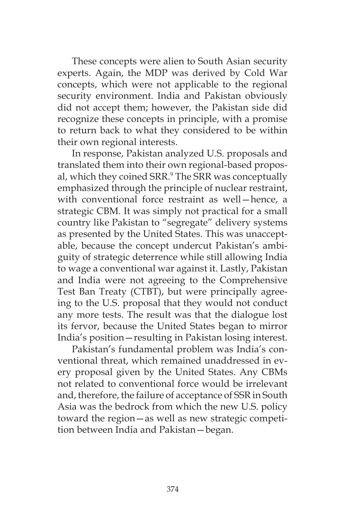These concepts were alien to South Asian security experts. Again, the MDP was derived by Cold War concepts, which were not applicable to the regional security environment. India and Pakistan obviously did not accept them; however, the Pakistan side did recognize these concepts in principle, with a promise to return back to what they considered to be within their own regional interests.

In response, Pakistan analyzed U.S. proposals and translated them into their own regional-based proposal, which they coined SRR.9 The SRR was conceptually emphasized through the principle of nuclear restraint, with conventional force restraint as well—hence, a strategic CBM. It was simply not practical for a small country like Pakistan to "segregate" delivery systems as presented by the United States. This was unacceptable, because the concept undercut Pakistan's ambiguity of strategic deterrence while still allowing India to wage a conventional war against it. Lastly, Pakistan and India were not agreeing to the Comprehensive Test Ban Treaty (CTBT), but were principally agreeing to the U.S. proposal that they would not conduct any more tests. The result was that the dialogue lost its fervor, because the United States began to mirror India's position—resulting in Pakistan losing interest.

Pakistan's fundamental problem was India's conventional threat, which remained unaddressed in every proposal given by the United States. Any CBMs not related to conventional force would be irrelevant and, therefore, the failure of acceptance of SSR in South Asia was the bedrock from which the new U.S. policy toward the region—as well as new strategic competition between India and Pakistan—began.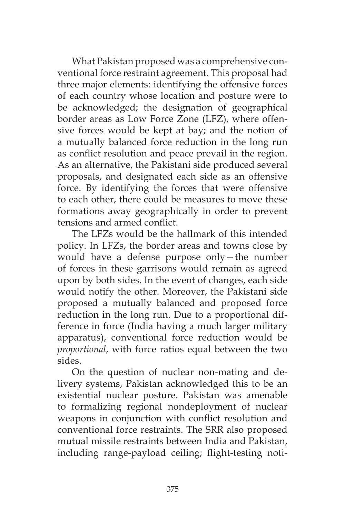What Pakistan proposed was a comprehensive conventional force restraint agreement. This proposal had three major elements: identifying the offensive forces of each country whose location and posture were to be acknowledged; the designation of geographical border areas as Low Force Zone (LFZ), where offensive forces would be kept at bay; and the notion of a mutually balanced force reduction in the long run as conflict resolution and peace prevail in the region. As an alternative, the Pakistani side produced several proposals, and designated each side as an offensive force. By identifying the forces that were offensive to each other, there could be measures to move these formations away geographically in order to prevent tensions and armed conflict.

The LFZs would be the hallmark of this intended policy. In LFZs, the border areas and towns close by would have a defense purpose only—the number of forces in these garrisons would remain as agreed upon by both sides. In the event of changes, each side would notify the other. Moreover, the Pakistani side proposed a mutually balanced and proposed force reduction in the long run. Due to a proportional difference in force (India having a much larger military apparatus), conventional force reduction would be *proportional*, with force ratios equal between the two sides.

On the question of nuclear non-mating and delivery systems, Pakistan acknowledged this to be an existential nuclear posture. Pakistan was amenable to formalizing regional nondeployment of nuclear weapons in conjunction with conflict resolution and conventional force restraints. The SRR also proposed mutual missile restraints between India and Pakistan, including range-payload ceiling; flight-testing noti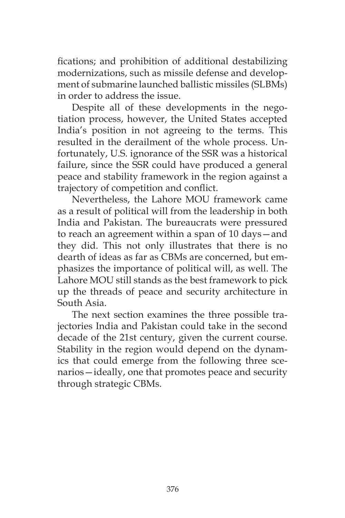fications; and prohibition of additional destabilizing modernizations, such as missile defense and development of submarine launched ballistic missiles (SLBMs) in order to address the issue.

Despite all of these developments in the negotiation process, however, the United States accepted India's position in not agreeing to the terms. This resulted in the derailment of the whole process. Unfortunately, U.S. ignorance of the SSR was a historical failure, since the SSR could have produced a general peace and stability framework in the region against a trajectory of competition and conflict.

Nevertheless, the Lahore MOU framework came as a result of political will from the leadership in both India and Pakistan. The bureaucrats were pressured to reach an agreement within a span of 10 days—and they did. This not only illustrates that there is no dearth of ideas as far as CBMs are concerned, but emphasizes the importance of political will, as well. The Lahore MOU still stands as the best framework to pick up the threads of peace and security architecture in South Asia.

The next section examines the three possible trajectories India and Pakistan could take in the second decade of the 21st century, given the current course. Stability in the region would depend on the dynamics that could emerge from the following three scenarios—ideally, one that promotes peace and security through strategic CBMs.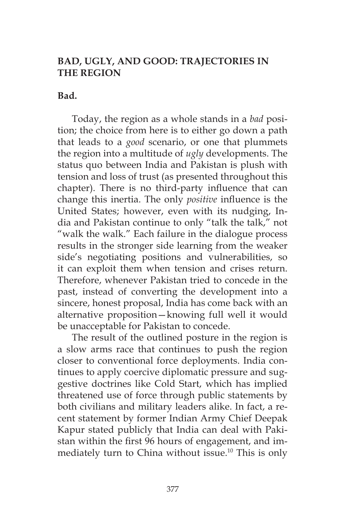## **BAD, UGLY, AND GOOD: TRAJECTORIES IN THE REGION**

### **Bad.**

Today, the region as a whole stands in a *bad* position; the choice from here is to either go down a path that leads to a *good* scenario, or one that plummets the region into a multitude of *ugly* developments. The status quo between India and Pakistan is plush with tension and loss of trust (as presented throughout this chapter). There is no third-party influence that can change this inertia. The only *positive* influence is the United States; however, even with its nudging, India and Pakistan continue to only "talk the talk," not "walk the walk." Each failure in the dialogue process results in the stronger side learning from the weaker side's negotiating positions and vulnerabilities, so it can exploit them when tension and crises return. Therefore, whenever Pakistan tried to concede in the past, instead of converting the development into a sincere, honest proposal, India has come back with an alternative proposition—knowing full well it would be unacceptable for Pakistan to concede.

The result of the outlined posture in the region is a slow arms race that continues to push the region closer to conventional force deployments. India continues to apply coercive diplomatic pressure and suggestive doctrines like Cold Start, which has implied threatened use of force through public statements by both civilians and military leaders alike. In fact, a recent statement by former Indian Army Chief Deepak Kapur stated publicly that India can deal with Pakistan within the first 96 hours of engagement, and immediately turn to China without issue.<sup>10</sup> This is only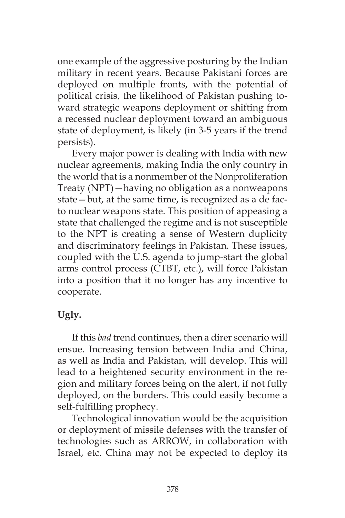one example of the aggressive posturing by the Indian military in recent years. Because Pakistani forces are deployed on multiple fronts, with the potential of political crisis, the likelihood of Pakistan pushing toward strategic weapons deployment or shifting from a recessed nuclear deployment toward an ambiguous state of deployment, is likely (in 3-5 years if the trend persists).

Every major power is dealing with India with new nuclear agreements, making India the only country in the world that is a nonmember of the Nonproliferation Treaty (NPT)—having no obligation as a nonweapons state—but, at the same time, is recognized as a de facto nuclear weapons state. This position of appeasing a state that challenged the regime and is not susceptible to the NPT is creating a sense of Western duplicity and discriminatory feelings in Pakistan. These issues, coupled with the U.S. agenda to jump-start the global arms control process (CTBT, etc.), will force Pakistan into a position that it no longer has any incentive to cooperate.

# **Ugly.**

If this *bad* trend continues, then a direr scenario will ensue. Increasing tension between India and China, as well as India and Pakistan, will develop. This will lead to a heightened security environment in the region and military forces being on the alert, if not fully deployed, on the borders. This could easily become a self-fulfilling prophecy.

Technological innovation would be the acquisition or deployment of missile defenses with the transfer of technologies such as ARROW, in collaboration with Israel, etc. China may not be expected to deploy its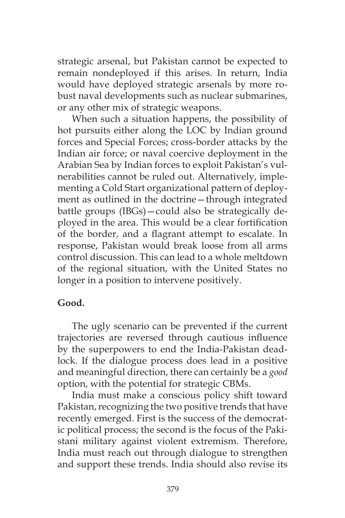strategic arsenal, but Pakistan cannot be expected to remain nondeployed if this arises. In return, India would have deployed strategic arsenals by more robust naval developments such as nuclear submarines, or any other mix of strategic weapons.

When such a situation happens, the possibility of hot pursuits either along the LOC by Indian ground forces and Special Forces; cross-border attacks by the Indian air force; or naval coercive deployment in the Arabian Sea by Indian forces to exploit Pakistan's vulnerabilities cannot be ruled out. Alternatively, implementing a Cold Start organizational pattern of deployment as outlined in the doctrine—through integrated battle groups (IBGs)—could also be strategically deployed in the area. This would be a clear fortification of the border, and a flagrant attempt to escalate. In response, Pakistan would break loose from all arms control discussion. This can lead to a whole meltdown of the regional situation, with the United States no longer in a position to intervene positively.

### **Good.**

The ugly scenario can be prevented if the current trajectories are reversed through cautious influence by the superpowers to end the India-Pakistan deadlock. If the dialogue process does lead in a positive and meaningful direction, there can certainly be a *good* option, with the potential for strategic CBMs.

India must make a conscious policy shift toward Pakistan, recognizing the two positive trends that have recently emerged. First is the success of the democratic political process; the second is the focus of the Pakistani military against violent extremism. Therefore, India must reach out through dialogue to strengthen and support these trends. India should also revise its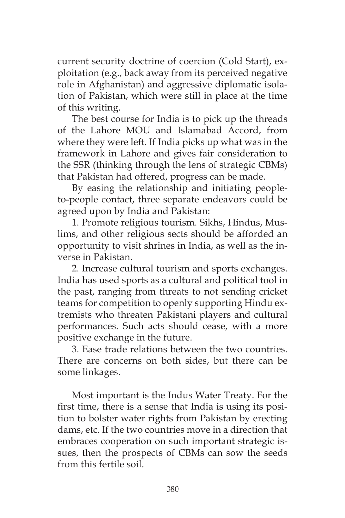current security doctrine of coercion (Cold Start), exploitation (e.g., back away from its perceived negative role in Afghanistan) and aggressive diplomatic isolation of Pakistan, which were still in place at the time of this writing.

The best course for India is to pick up the threads of the Lahore MOU and Islamabad Accord, from where they were left. If India picks up what was in the framework in Lahore and gives fair consideration to the SSR (thinking through the lens of strategic CBMs) that Pakistan had offered, progress can be made.

By easing the relationship and initiating peopleto-people contact, three separate endeavors could be agreed upon by India and Pakistan:

1. Promote religious tourism. Sikhs, Hindus, Muslims, and other religious sects should be afforded an opportunity to visit shrines in India, as well as the inverse in Pakistan.

2. Increase cultural tourism and sports exchanges. India has used sports as a cultural and political tool in the past, ranging from threats to not sending cricket teams for competition to openly supporting Hindu extremists who threaten Pakistani players and cultural performances. Such acts should cease, with a more positive exchange in the future.

3. Ease trade relations between the two countries. There are concerns on both sides, but there can be some linkages.

Most important is the Indus Water Treaty. For the first time, there is a sense that India is using its position to bolster water rights from Pakistan by erecting dams, etc. If the two countries move in a direction that embraces cooperation on such important strategic issues, then the prospects of CBMs can sow the seeds from this fertile soil.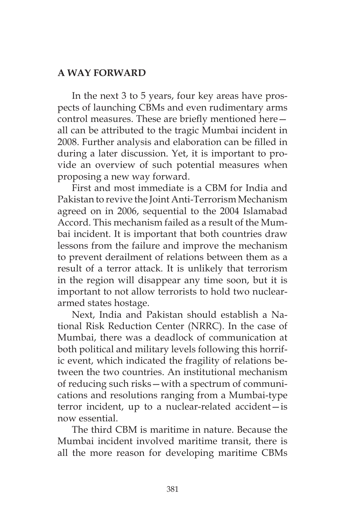### **A WAY FORWARD**

In the next 3 to 5 years, four key areas have prospects of launching CBMs and even rudimentary arms control measures. These are briefly mentioned here all can be attributed to the tragic Mumbai incident in 2008. Further analysis and elaboration can be filled in during a later discussion. Yet, it is important to provide an overview of such potential measures when proposing a new way forward.

First and most immediate is a CBM for India and Pakistan to revive the Joint Anti-Terrorism Mechanism agreed on in 2006, sequential to the 2004 Islamabad Accord. This mechanism failed as a result of the Mumbai incident. It is important that both countries draw lessons from the failure and improve the mechanism to prevent derailment of relations between them as a result of a terror attack. It is unlikely that terrorism in the region will disappear any time soon, but it is important to not allow terrorists to hold two nucleararmed states hostage.

Next, India and Pakistan should establish a National Risk Reduction Center (NRRC). In the case of Mumbai, there was a deadlock of communication at both political and military levels following this horrific event, which indicated the fragility of relations between the two countries. An institutional mechanism of reducing such risks—with a spectrum of communications and resolutions ranging from a Mumbai-type terror incident, up to a nuclear-related accident—is now essential.

The third CBM is maritime in nature. Because the Mumbai incident involved maritime transit, there is all the more reason for developing maritime CBMs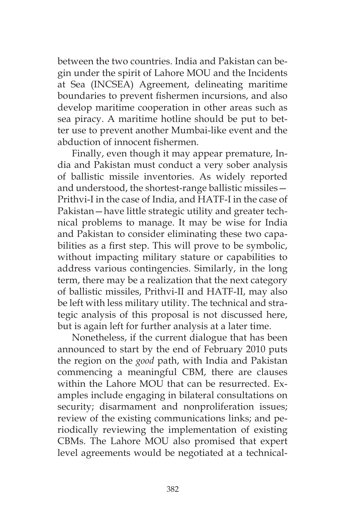between the two countries. India and Pakistan can begin under the spirit of Lahore MOU and the Incidents at Sea (INCSEA) Agreement, delineating maritime boundaries to prevent fishermen incursions, and also develop maritime cooperation in other areas such as sea piracy. A maritime hotline should be put to better use to prevent another Mumbai-like event and the abduction of innocent fishermen.

Finally, even though it may appear premature, India and Pakistan must conduct a very sober analysis of ballistic missile inventories. As widely reported and understood, the shortest-range ballistic missiles— Prithvi-I in the case of India, and HATF-I in the case of Pakistan—have little strategic utility and greater technical problems to manage. It may be wise for India and Pakistan to consider eliminating these two capabilities as a first step. This will prove to be symbolic, without impacting military stature or capabilities to address various contingencies. Similarly, in the long term, there may be a realization that the next category of ballistic missiles, Prithvi-II and HATF-II, may also be left with less military utility. The technical and strategic analysis of this proposal is not discussed here, but is again left for further analysis at a later time.

Nonetheless, if the current dialogue that has been announced to start by the end of February 2010 puts the region on the *good* path, with India and Pakistan commencing a meaningful CBM, there are clauses within the Lahore MOU that can be resurrected. Examples include engaging in bilateral consultations on security; disarmament and nonproliferation issues; review of the existing communications links; and periodically reviewing the implementation of existing CBMs. The Lahore MOU also promised that expert level agreements would be negotiated at a technical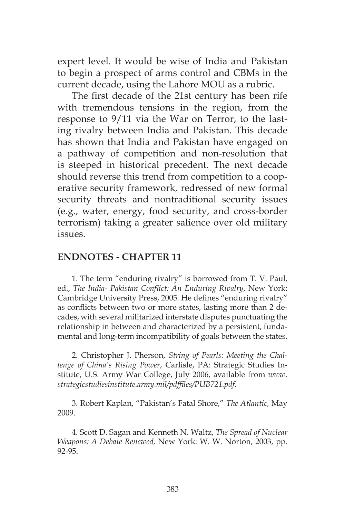expert level. It would be wise of India and Pakistan to begin a prospect of arms control and CBMs in the current decade, using the Lahore MOU as a rubric.

The first decade of the 21st century has been rife with tremendous tensions in the region, from the response to 9/11 via the War on Terror, to the lasting rivalry between India and Pakistan. This decade has shown that India and Pakistan have engaged on a pathway of competition and non-resolution that is steeped in historical precedent. The next decade should reverse this trend from competition to a cooperative security framework, redressed of new formal security threats and nontraditional security issues (e.g., water, energy, food security, and cross-border terrorism) taking a greater salience over old military issues.

## **ENDNOTES - CHAPTER 11**

1. The term "enduring rivalry" is borrowed from T. V. Paul, ed., *The India- Pakistan Conflict: An Enduring Rivalry*, New York: Cambridge University Press, 2005. He defines "enduring rivalry" as conflicts between two or more states, lasting more than 2 decades, with several militarized interstate disputes punctuating the relationship in between and characterized by a persistent, fundamental and long-term incompatibility of goals between the states.

2. Christopher J. Pherson, *String of Pearls: Meeting the Challenge of China's Rising Power*, Carlisle, PA: Strategic Studies Institute, U.S. Army War College, July 2006, available from *www. strategicstudiesinstitute.army.mil/pdffiles/PUB721.pdf*.

3. Robert Kaplan, "Pakistan's Fatal Shore," *The Atlantic,* May 2009.

4. Scott D. Sagan and Kenneth N. Waltz, *The Spread of Nuclear Weapons: A Debate Renewed,* New York: W. W. Norton, 2003, pp. 92-95.